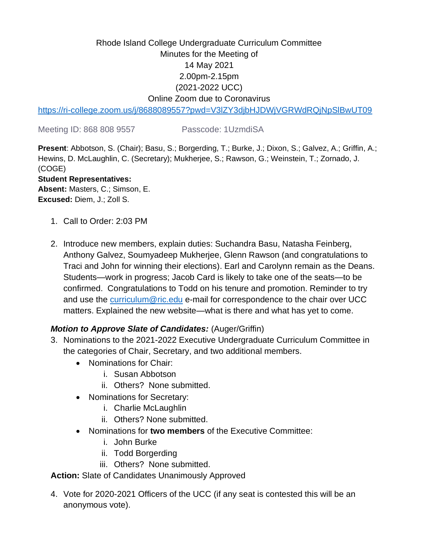# Rhode Island College Undergraduate Curriculum Committee Minutes for the Meeting of 14 May 2021 2.00pm-2.15pm (2021-2022 UCC) Online Zoom due to Coronavirus

<https://ri-college.zoom.us/j/8688089557?pwd=V3lZY3djbHJDWjVGRWdRQjNpSlBwUT09>

Meeting ID: 868 808 9557 Passcode: 1UzmdiSA

**Present**: Abbotson, S. (Chair); Basu, S.; Borgerding, T.; Burke, J.; Dixon, S.; Galvez, A.; Griffin, A.; Hewins, D. McLaughlin, C. (Secretary); Mukherjee, S.; Rawson, G.; Weinstein, T.; Zornado, J. (COGE)

#### **Student Representatives:**

**Absent:** Masters, C.; Simson, E. **Excused:** Diem, J.; Zoll S.

- 1. Call to Order: 2:03 PM
- 2. Introduce new members, explain duties: Suchandra Basu, Natasha Feinberg, Anthony Galvez, Soumyadeep Mukherjee, Glenn Rawson (and congratulations to Traci and John for winning their elections). Earl and Carolynn remain as the Deans. Students—work in progress; Jacob Card is likely to take one of the seats—to be confirmed. Congratulations to Todd on his tenure and promotion. Reminder to try and use the [curriculum@ric.edu](mailto:curriculum@ric.edu) e-mail for correspondence to the chair over UCC matters. Explained the new website—what is there and what has yet to come.

## *Motion to Approve Slate of Candidates:* (Auger/Griffin)

- 3. Nominations to the 2021-2022 Executive Undergraduate Curriculum Committee in the categories of Chair, Secretary, and two additional members.
	- Nominations for Chair:
		- i. Susan Abbotson
		- ii. Others? None submitted.
	- Nominations for Secretary:
		- i. Charlie McLaughlin
		- ii. Others? None submitted.
	- Nominations for **two members** of the Executive Committee:
		- i. John Burke
		- ii. Todd Borgerding
		- iii. Others? None submitted.

### **Action:** Slate of Candidates Unanimously Approved

4. Vote for 2020-2021 Officers of the UCC (if any seat is contested this will be an anonymous vote).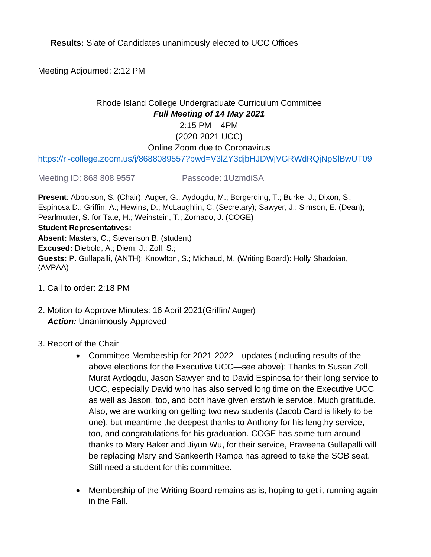**Results:** Slate of Candidates unanimously elected to UCC Offices

Meeting Adjourned: 2:12 PM

## Rhode Island College Undergraduate Curriculum Committee *Full Meeting of 14 May 2021* 2:15 PM – 4PM (2020-2021 UCC) Online Zoom due to Coronavirus

<https://ri-college.zoom.us/j/8688089557?pwd=V3lZY3djbHJDWjVGRWdRQjNpSlBwUT09>

Meeting ID: 868 808 9557 Passcode: 1UzmdiSA

**Present**: Abbotson, S. (Chair); Auger, G.; Aydogdu, M.; Borgerding, T.; Burke, J.; Dixon, S.; Espinosa D.; Griffin, A.; Hewins, D.; McLaughlin, C. (Secretary); Sawyer, J.; Simson, E. (Dean); Pearlmutter, S. for Tate, H.; Weinstein, T.; Zornado, J. (COGE)

#### **Student Representatives:**

**Absent:** Masters, C.; Stevenson B. (student) **Excused:** Diebold, A.; Diem, J.; Zoll, S.; **Guests:** P**.** Gullapalli, (ANTH); Knowlton, S.; Michaud, M. (Writing Board): Holly Shadoian, (AVPAA)

- 1. Call to order: 2:18 PM
- 2. Motion to Approve Minutes: 16 April 2021(Griffin/ Auger) *Action:* Unanimously Approved
- 3. Report of the Chair
	- Committee Membership for 2021-2022—updates (including results of the above elections for the Executive UCC—see above): Thanks to Susan Zoll, Murat Aydogdu, Jason Sawyer and to David Espinosa for their long service to UCC, especially David who has also served long time on the Executive UCC as well as Jason, too, and both have given erstwhile service. Much gratitude. Also, we are working on getting two new students (Jacob Card is likely to be one), but meantime the deepest thanks to Anthony for his lengthy service, too, and congratulations for his graduation. COGE has some turn around thanks to Mary Baker and Jiyun Wu, for their service, Praveena Gullapalli will be replacing Mary and Sankeerth Rampa has agreed to take the SOB seat. Still need a student for this committee.
	- Membership of the Writing Board remains as is, hoping to get it running again in the Fall.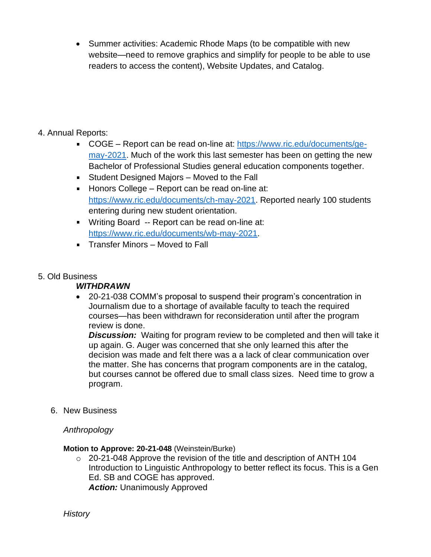• Summer activities: Academic Rhode Maps (to be compatible with new website—need to remove graphics and simplify for people to be able to use readers to access the content), Website Updates, and Catalog.

## 4. Annual Reports:

- COGE Report can be read on-line at: [https://www.ric.edu/documents/ge](https://www.ric.edu/documents/ge-may-2021)[may-2021.](https://www.ric.edu/documents/ge-may-2021) Much of the work this last semester has been on getting the new Bachelor of Professional Studies general education components together.
- Student Designed Majors Moved to the Fall
- **Honors College Report can be read on-line at:** [https://www.ric.edu/documents/ch-may-2021.](https://www.ric.edu/documents/ch-may-2021) Reported nearly 100 students entering during new student orientation.
- Writing Board -- Report can be read on-line at: [https://www.ric.edu/documents/wb-may-2021.](https://www.ric.edu/documents/wb-may-2021)
- **Transfer Minors Moved to Fall**

## 5. Old Business

## *WITHDRAWN*

• 20-21-038 COMM's proposal to suspend their program's concentration in Journalism due to a shortage of available faculty to teach the required courses—has been withdrawn for reconsideration until after the program review is done.

*Discussion:* Waiting for program review to be completed and then will take it up again. G. Auger was concerned that she only learned this after the decision was made and felt there was a a lack of clear communication over the matter. She has concerns that program components are in the catalog, but courses cannot be offered due to small class sizes. Need time to grow a program.

6. New Business

## *Anthropology*

### **Motion to Approve: 20-21-048** (Weinstein/Burke)

o 20-21-048 Approve the revision of the title and description of ANTH 104 Introduction to Linguistic Anthropology to better reflect its focus. This is a Gen Ed. SB and COGE has approved. *Action:* Unanimously Approved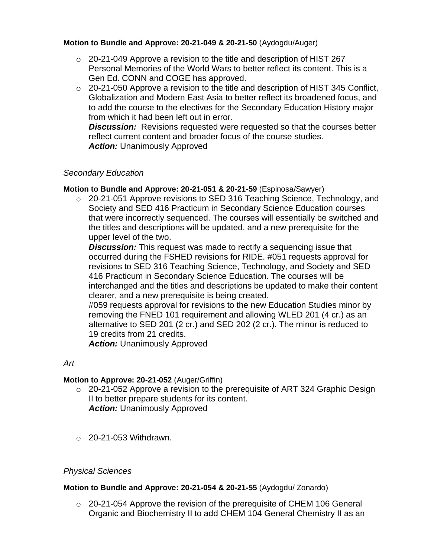### **Motion to Bundle and Approve: 20-21-049 & 20-21-50** (Aydogdu/Auger)

- $\circ$  20-21-049 Approve a revision to the title and description of HIST 267 Personal Memories of the World Wars to better reflect its content. This is a Gen Ed. CONN and COGE has approved.
- o 20-21-050 Approve a revision to the title and description of HIST 345 Conflict, Globalization and Modern East Asia to better reflect its broadened focus, and to add the course to the electives for the Secondary Education History major from which it had been left out in error.

*Discussion:* Revisions requested were requested so that the courses better reflect current content and broader focus of the course studies. *Action:* Unanimously Approved

### *Secondary Education*

**Motion to Bundle and Approve: 20-21-051 & 20-21-59** (Espinosa/Sawyer)

 $\circ$  20-21-051 Approve revisions to SED 316 Teaching Science, Technology, and Society and SED 416 Practicum in Secondary Science Education courses that were incorrectly sequenced. The courses will essentially be switched and the titles and descriptions will be updated, and a new prerequisite for the upper level of the two.

**Discussion:** This request was made to rectify a sequencing issue that occurred during the FSHED revisions for RIDE. #051 requests approval for revisions to SED 316 Teaching Science, Technology, and Society and SED 416 Practicum in Secondary Science Education. The courses will be interchanged and the titles and descriptions be updated to make their content clearer, and a new prerequisite is being created.

#059 requests approval for revisions to the new Education Studies minor by removing the FNED 101 requirement and allowing WLED 201 (4 cr.) as an alternative to SED 201 (2 cr.) and SED 202 (2 cr.). The minor is reduced to 19 credits from 21 credits.

*Action:* Unanimously Approved

### *Art*

### **Motion to Approve: 20-21-052** (Auger/Griffin)

- $\circ$  20-21-052 Approve a revision to the prerequisite of ART 324 Graphic Design II to better prepare students for its content. *Action:* Unanimously Approved
- $\circ$  20-21-053 Withdrawn.

### *Physical Sciences*

#### **Motion to Bundle and Approve: 20-21-054 & 20-21-55** (Aydogdu/ Zonardo)

 $\circ$  20-21-054 Approve the revision of the prerequisite of CHEM 106 General Organic and Biochemistry II to add CHEM 104 General Chemistry II as an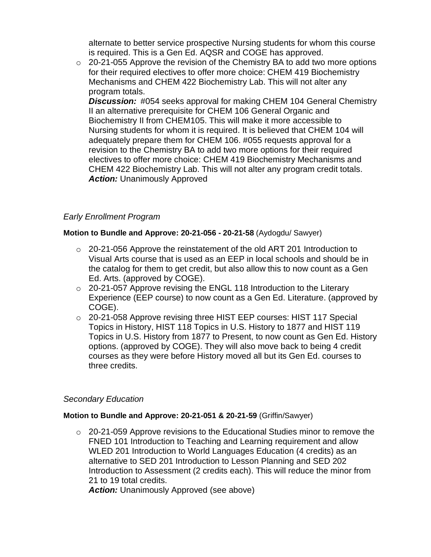alternate to better service prospective Nursing students for whom this course is required. This is a Gen Ed. AQSR and COGE has approved.

 $\circ$  20-21-055 Approve the revision of the Chemistry BA to add two more options for their required electives to offer more choice: CHEM 419 Biochemistry Mechanisms and CHEM 422 Biochemistry Lab. This will not alter any program totals.

*Discussion:* #054 seeks approval for making CHEM 104 General Chemistry II an alternative prerequisite for CHEM 106 General Organic and Biochemistry II from CHEM105. This will make it more accessible to Nursing students for whom it is required. It is believed that CHEM 104 will adequately prepare them for CHEM 106. #055 requests approval for a revision to the Chemistry BA to add two more options for their required electives to offer more choice: CHEM 419 Biochemistry Mechanisms and CHEM 422 Biochemistry Lab. This will not alter any program credit totals. *Action:* Unanimously Approved

## *Early Enrollment Program*

### **Motion to Bundle and Approve: 20-21-056 - 20-21-58** (Aydogdu/ Sawyer)

- $\circ$  20-21-056 Approve the reinstatement of the old ART 201 Introduction to Visual Arts course that is used as an EEP in local schools and should be in the catalog for them to get credit, but also allow this to now count as a Gen Ed. Arts. (approved by COGE).
- o 20-21-057 Approve revising the ENGL 118 Introduction to the Literary Experience (EEP course) to now count as a Gen Ed. Literature. (approved by COGE).
- o 20-21-058 Approve revising three HIST EEP courses: HIST 117 Special Topics in History, HIST 118 Topics in U.S. History to 1877 and HIST 119 Topics in U.S. History from 1877 to Present, to now count as Gen Ed. History options. (approved by COGE). They will also move back to being 4 credit courses as they were before History moved all but its Gen Ed. courses to three credits.

## *Secondary Education*

### **Motion to Bundle and Approve: 20-21-051 & 20-21-59** (Griffin/Sawyer)

 $\circ$  20-21-059 Approve revisions to the Educational Studies minor to remove the FNED 101 Introduction to Teaching and Learning requirement and allow WLED 201 Introduction to World Languages Education (4 credits) as an alternative to SED 201 Introduction to Lesson Planning and SED 202 Introduction to Assessment (2 credits each). This will reduce the minor from 21 to 19 total credits.

*Action:* Unanimously Approved (see above)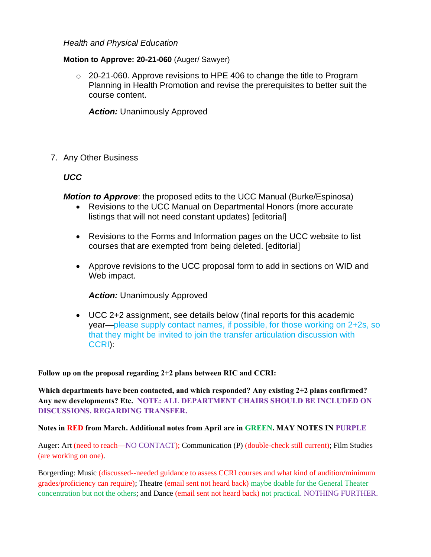#### *Health and Physical Education*

#### **Motion to Approve: 20-21-060** (Auger/ Sawyer)

 $\circ$  20-21-060. Approve revisions to HPE 406 to change the title to Program Planning in Health Promotion and revise the prerequisites to better suit the course content.

*Action:* Unanimously Approved

#### 7. Any Other Business

### *UCC*

*Motion to Approve*: the proposed edits to the UCC Manual (Burke/Espinosa)

- Revisions to the UCC Manual on Departmental Honors (more accurate listings that will not need constant updates) [editorial]
- Revisions to the Forms and Information pages on the UCC website to list courses that are exempted from being deleted. [editorial]
- Approve revisions to the UCC proposal form to add in sections on WID and Web impact.

*Action:* Unanimously Approved

• UCC 2+2 assignment, see details below (final reports for this academic year—please supply contact names, if possible, for those working on 2+2s, so that they might be invited to join the transfer articulation discussion with CCRI):

#### **Follow up on the proposal regarding 2+2 plans between RIC and CCRI:**

**Which departments have been contacted, and which responded? Any existing 2+2 plans confirmed? Any new developments? Etc. NOTE: ALL DEPARTMENT CHAIRS SHOULD BE INCLUDED ON DISCUSSIONS. REGARDING TRANSFER.**

#### **Notes in RED from March. Additional notes from April are in GREEN. MAY NOTES IN PURPLE**

Auger: Art (need to reach—NO CONTACT); Communication (P) (double-check still current); Film Studies (are working on one).

Borgerding: Music (discussed--needed guidance to assess CCRI courses and what kind of audition/minimum grades/proficiency can require); Theatre (email sent not heard back) maybe doable for the General Theater concentration but not the others; and Dance (email sent not heard back) not practical. NOTHING FURTHER.